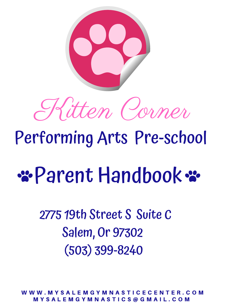

#### \$10 per Parent Handbook %

# Kitten Corner

## Performing Arts Pre-school

W W W . M Y S A L E M G Y M N A S T I C E C E N T E R . C O M M Y S A L E M G Y M N A S T I C S @ G M A I L . C O M

### 2775 19th Street S Suite C Salem, Or 97302 (503) 399-8240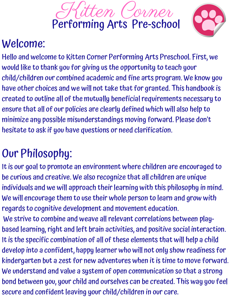



#### Welcome:

 $S(A)$   $\wedge$   $A$   $\wedge$   $A$   $\wedge$   $B$ F O R D H A M G R A H A M A N m 9 9 1 1 9 1 1 9 1 1 9 1 1 9 1 1 9 1 1 9 1 1 9 1 1 9 1 1 9 1 1 9 1 1 9 1 1 9 1 1 9 1 1 9 1 1 9 1 1 9 1 1 9 1 1 S QUITTUUN DIE PROVINSIE VAN DIE VAN DIE VAN DIE VAN DIE VAN DIE VAN DIE VAN DIE VAN DIE VAN DIE VAN DIE VAN D F O R D H A M  $\bullet$ SC UU UI*la*iin uul would like to thank you for giving us the opportunity to teach your Hello and welcome to Kitten Corner Performing Arts Preschool. First, we child/children our combined academic and fine arts program. We know you have other choices and we will not take that for granted. This handbook is created to outline all of the mutually beneficialrequirements necessary to ensure that all of our policies are clearly defined which will also help to minimize any possible misunderstandings moving forward. Please don't hesitate to ask if you have questions or need clarification.

#### Our Philosophy:

- be curious and creative. We also recognize that all children are unique<br>individuals and we will annroach their learning with this nhilosophy in mind d grow with based learning, right and left brain activities, and positive social interaction.<br>Which have seen interesting the children and see the children in the cold in t It is our goal to promote an environment where children are encouraged to individuals and we will approach their learning with this philosophy in mind. We will encourage them to use their whole person to learn and grow with regards to cognitive development and movement education. We strive to combine and weave allrelevant correlations between play-It is the specific combination of all of these elements that will help a child
- develop into a confident, happy learner who will not only show readiness for
- kindergarten but a zest for new adventures when it is time to move forward.
- $2^{21}$ We understand and value a system of open communication so that a strong
- bond between you, your child and ourselves can be created. This way you feel secure and confident leaving your child/children in our care.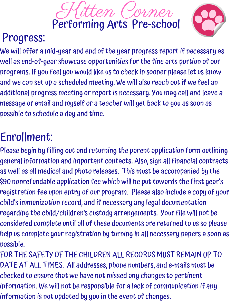Kitten Corner Performing Arts Pre-school



#### Progress:

and we can set up a scheduled meeting. We will also reach out if we feel an S U N D A Y ,A P R I L 1 0 , 2 0 1 9 , 7 P M A A CALLATING I  $\sigma$  and the value of  $\sigma$  $\mathbf{S} \mathbf{A} \mathbf{A} \mathbf{A} \mathbf{A} \mathbf{A} \mathbf{A} \mathbf{A} \mathbf{A} \mathbf{A} \mathbf{A} \mathbf{A} \mathbf{A} \mathbf{A} \mathbf{A} \mathbf{A} \mathbf{A} \mathbf{A} \mathbf{A} \mathbf{A} \mathbf{A} \mathbf{A} \mathbf{A} \mathbf{A} \mathbf{A} \mathbf{A} \mathbf{A} \mathbf{A} \mathbf{A} \mathbf{A} \mathbf{A} \mathbf{A} \mathbf{A} \mathbf{A} \mathbf{A} \mathbf{A} \mathbf{$  $F$   $\mathbf{F}$   $\mathbf{D}$   $\mathbf{D}$   $\mathbf{F}$   $\mathbf{D}$   $\mathbf{D}$   $\mathbf{F}$ M A L V E R N , P A 1 9 3 5 5 We will offer a mid-year and end of the year progress reportif necessary as well as end-of-year showcase opportunities for the fine arts portion of our programs. If you feel you would like us to check in sooner please let us know additional progress meeting or report is necessary. You may call and leave a message or email and myself or a teacher will get back to you as soon as possible to schedule a day and time.

#### Enrollment:

Please begin by filling out and returning the parent application form outlining

- \$10 per \$90 nonrefundable application fee which will be puttowards the first year's child child's immunization record, and if necessary any legal documentation .<br>help us complete your registration by turning in all necessary papers a soon as general information and important contacts. Also, sign all financial contracts as well as all medical and photo releases. This must be accompanied by the registration fee upon entry of our program. Please also include a copy of your regarding the child/children's custody arrangements. Your file will not be considered complete until all of these documents are returned to us so please possible.
- DATE AT ALL TIMES. All addresses, phone numbers, and e-mails must be FOR THE SAFETY OF THE CHILDREN ALL RECORDS MUST REMAIN UP TO checked to ensure that we have not missed any changes to pertinent information. We will not be responsible for a lack of communication if any information is not updated by you in the event of changes.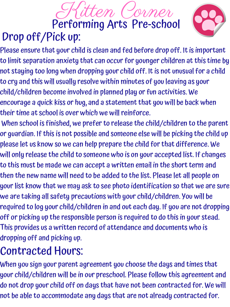#### Kitten Corner Performing Arts Pre-school Drop off/Pick up:



- F O R D H A M A L L L L L L L L to cry and this will usually resolve within minutes of you leaving as your  $\mathbf{S} \cup \mathbf{S}$  ,  $\mathbf{S} \cup \mathbf{S}$  ,  $\mathbf{S} \cup \mathbf{S}$ INIISHAI TAT **P 200041 1 9 1**  $\mathbf{S}$  and  $\mathbf{A}$  and  $\mathbf{A}$  and  $\mathbf{A}$  and  $\mathbf{A}$  and  $\mathbf{A}$  and  $\mathbf{A}$ A LAM KAMA V  $\eta$  voo long Please ensure that your child is clean and fed before drop off. It is important to limit separation anxiety that can occur for younger children atthis time by not staying too long when dropping your child off. It is not unusual for a child child/children become involved in planned play or fun activities. We encourage a quick kiss or hug, and a statement that you will be back when their time at school is over which we will reinforce.
- When school is finished, we prefer to release the child/children to the parent or guardian. If this is not possible and someone else will be picking the child up please let us know so we can help prepare the child forthat difference. We will only release the child to someone who is on your accepted list. If changes
- let all people on<br>so that we are sure You will be<br>are not dronning rs wrst is to this must be made we can accept a written email in the short term and then the new name will need to be added to the list. Please let all people on your list know that we may ask to see photo identification so that we are sure we are taking all safety precautions with your child/children. You will be required to log your child/children in and out each day. If you are not dropping off or picking up the responsible person is required to do this in your stead. This provides us a written record of attendance and documents who is dropping off and picking up.

When you sign your parent agreement you choose the days and times that your child/children will be in our preschool. Please follow this agreement and do not drop your child off on days that have not been contracted for. We will not be able to accommodate any days that are not already contracted for.

#### Contracted Hours: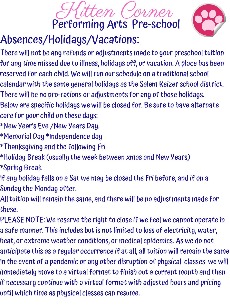#### Kitten Corner Performing Arts Pre-school Absences/Holidays/Vacations:



- S U V L V V L V M F O R D H A M G R A M G R A N D H A L L AN AL CANAI  $\blacksquare$ N A LA CONTRO There will not be any refunds or adjustments made to your preschooltuition for any time missed due to illness, holidays off, or vacation. A place has been reserved for each child. We willrun our schedule on a traditional school calendar with the same general holidays as the Salem Keizer school district. There will be no pro-rations or adjustments for any of those holidays.
- Below are specific holidays we will be closed for. Be sure to have alternate care for your child on these days:
- \*New Year's Eve /New Years Day.
- \*Memorial Day \*Independence day
- \*Thanksgiving and the following Fri
- \*Holiday Break (usually the week between xmas and New Years) \*Spring Break
- $\mathbf{a}_1$ , and if on a If any holiday falls on a Sat we may be closed the Fri before, and if on a
- Sunday the Monday after.
- nts made for All tuition will remain the same, and there will be no adjustments made for these.
- a safe manner. This includes but is not limited to loss of electricity, water,<br>. PLEASE NOTE: We reserve the right to close if we feel we cannot operate in heat, or extreme weather conditions, or medical epidemics. As we do not
- anticipate this as a regular occurrence if at all, all tuition will remain the same
- z rond a panaonnoù ang danoi aisi aparon ar prigoioù oidosoù wo In the event of a pandemic or any other disruption of physical classes we will
- immediately move to a virtual format to finish out a current month and then if necessary continue with a virtual format with adjusted hours and pricing
- until which time as physical classes can resume.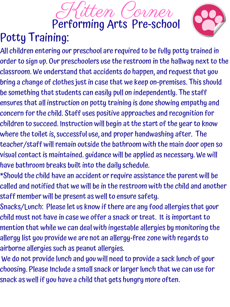#### Kitten Corner Performing Arts Pre-school Potty Training:



#### bring a change of clothes just in case that we keep on-premises. This should S U N D A Y ,A P R I L 1 0 , 2 0 1 9 , 7 P M *AILORT THAT* J V GJ V VI J Q J S U N D A Y A Y 2 O 1 0 1 2 D A Y 2 0 1 2 D A Y 2 0 1 2 D A Y 2 0 1 2 D A Y 2 0 1 2 D A Y 2 0 1 2 D A Y 2 0 1  $\blacksquare$  $\mathbf{V} \mathbf{V} \mathbf{V}$  virust All children entering our preschool are required to be fully potty trained in order to sign up. Our preschoolers use the restroom in the hallway next to the classroom. We understand that accidents do happen, and requestthat you be something that students can easily pull on independently. The staff ensures that all instruction on potty training is done showing empathy and concern forthe child. Staff uses positive approaches and recognition for children to succeed. Instruction will begin atthe start of the yearto know where the toiletis, successful use, and proper handwashing after. The teacher/staff willremain outside the bathroom with the main door open so visual contactis maintained. guidance will be applied as necessary. We will

- have bathroom breaks built into the daily schedule.
- \*Should the child have an accident orrequire assistance the parent will be
- e parent will be<br>child and another called and notified that we will be in the restroom with the child and another staff member will be present as well to ensure safety.
- child Snacks/Lunch: Please let us know if there are any food allergies that your
- child must not have in case we offer a snack or treat. It is important to
- nomcoring cne<br>regande to mention that while we can deal with ingestable allergies by monitoring the allergy list you provide we are not an allergy-free zone with regards to
- airborne allergies such as peanut allergies.
- 2 7 7 5 1 9 T H S T S A L E M , O R 9 7 3 0 2 We do not provide lunch and you will need to provide a sack lunch of your choosing. Please Include a small snack or larger lunch that we can use for snack as well if you have a child that gets hungry more often.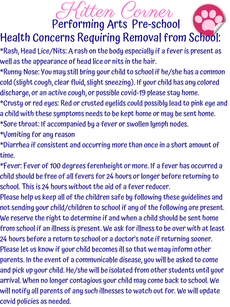#### Kitten Corner Performing Arts Pre-school

#### Health Concerns Requiring Removal from School:

- \*Rash, Head Lice/Nits: A rash on the body especially if a feveris present as well as the appearance of head lice or nits in the hair.
- $\mathbf{A} \cdot \mathbf{B}$  ,  $\mathbf{A} \cdot \mathbf{A}$  ,  $\mathbf{A} \cdot \mathbf{A}$  ,  $\mathbf{A} \cdot \mathbf{A}$  ,  $\mathbf{A} \cdot \mathbf{A}$  ,  $\mathbf{A} \cdot \mathbf{A}$  ,  $\mathbf{A} \cdot \mathbf{A}$  ,  $\mathbf{A} \cdot \mathbf{A}$  ,  $\mathbf{A} \cdot \mathbf{A}$  ,  $\mathbf{A} \cdot \mathbf{A}$  ,  $\mathbf{A} \cdot \mathbf{A}$  ,  $\mathbf{A} \cdot \mathbf$  $\mathsf{F}$  and  $\mathsf{F}$  or  $\mathsf{F}$ TU 1190 9 UN S U N D A Y ,A P R I L 1 0 , 2 0 1 9 , 7 P M r a Rhain Ma JU. *7* UU 1110 \*Runny Nose:You may still bring your child to school if he/she has a common
- cold (slight cough, clear fluid, slight sneezing). If your child has any colored
- discharge, or an active cough, or possible covid-19 please stay home.
- \*Crusty orred eyes: Red or crusted eyelids could possibly lead to pink eye and
- a child with these symptoms needs to be kept home or may be sent home.
- \*Sore throat: If accompanied by a fever or swollen lymph nodes.
- \*Vomiting for any reason
- \*Diarrhea if consistent and occurring more than once in a short amount of time.
- child should be free of all fevers for 24 hours or longer before returning to<br>school. This is 24 hours without the aid of a fever reducer \*Fever: Fever of 100 degrees ferenheight or more. If a fever has occurred a school. This is 24 hours without the aid of a fever reducer.
- Please help us keep all of the children safe by following these guidelines and<br>not sending your child /children to school if any of the following are present not sending your child/children to school if any of the following are present. We reserve the right to determine if and when a child should be sent home
- from school if an illness is present. We ask for illness to be over with at least<br>at have before a nature to school an a dectar's nate if natureing seemen
- 24 hours before a return to school or a doctor's note if returning sooner.
- Please let us know if your child becomes ill so that we may inform other
- 2 7 7 5 1 9 T H S T S A L E M , O R 9 7 3 0 2 parents. In the event of a communicable disease, you will be asked to come and pick up your child. He/she will be isolated from other students until your arrival. When no longer contagious your child may come back to school. We
- will notify all parents of any such illnesses to watch out for. We will update covid policies as needed.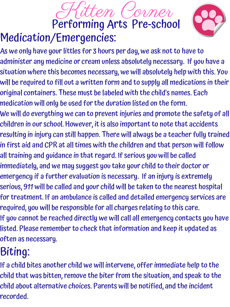#### Kitten Corner Performing Arts Pre-school Medication/Emergencies:



S U N D A Y , A P R I L 1 0 , 2 0 1 9 , 7 P M will be required to fill out a written form and to supply all medications in their S U N D A Y R I L 1 0 1 P M A AIN LUTH T I GID VY I VII A S U N D A Y 2 0 1 D A Y 2 0 1 D A Y 2 0 1 D A Y 2 0 1 D A Y 2 0 1 D A Y 2 0 1 D A Y 2 0 1 D A Y 2 0 1 D A Y 2  $\boldsymbol{\mathsf{u}}$  and  $\boldsymbol{\mathsf{m}}$  this  $\boldsymbol{\mathsf{v}}$  $\overline{\mathcal{L}}$  and  $\overline{\mathcal{L}}$  and  $\overline{\mathcal{L}}$ is extremely<br>nearest hospital for treatment. If an ambulance is called and detailed emergency services are<br>required usu will be responsible for all characs relating to this care. listed. Please remember to check that information and keep it updated as<br>eften as resesses As we only have your littles for 3 hours per day, we ask not to have to administer any medicine or cream unless absolutely necessary. If you have a situation where this becomes necessary, we will absolutely help with this. You original containers. These must be labeled with the child's names. Each medication will only be used forthe duration listed on the form. We will do everything we can to prevent injuries and promote the safety of all children in our school. However, it is also important to note that accidents resulting in injury can still happen. There will always be a teacher fully trained in first aid and CPR at all times with the children and that person will follow all training and guidance in that regard. If serious you will be called immediately, and we may suggest you take your child to their doctor or emergency if a further evaluation is necessary. If an injury is extremely serious, 911 will be called and your child will be taken to the nearest hospital required, you will be responsible for all charges relating to this care. If you cannot be reached directly we will call all emergency contacts you have often as necessary.

If a child bites another child we will intervene, offer immediate help to the child that was bitten, remove the biter from the situation, and speak to the child about alternative choices. Parents will be notified, and the incident recorded.

### Biting: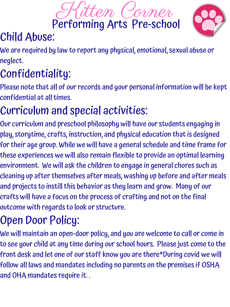#### $\mathcal{S}$  and  $\mathcal{S}$  and  $\mathcal{S}$  and  $\mathcal{S}$  and  $\mathcal{S}$  and  $\mathcal{S}$  and  $\mathcal{S}$  and  $\mathcal{S}$  and  $\mathcal{S}$  and  $\mathcal{S}$  and  $\mathcal{S}$  and  $\mathcal{S}$  and  $\mathcal{S}$  and  $\mathcal{S}$  and  $\mathcal{S}$  and  $\mathcal{S}$  and  $\mathcal{S}$  and  $F \sim \frac{1}{2}$  . The distribution of  $\frac{1}{2}$ 9 M A L V E R N H Confidentiality:

Please note that all of our records and your personal information will be kept confidential at all times.





#### Child Abuse:

We are required by law to report any physical, emotional, sexual abuse or neglect.

cleaning up after themselves after meals, washing up before and after meals<br>and projects to instill this hehavior as theu learn and orow. Manu of our crafts will have a focus on the process of crafting and not on the final<br>outcome with regards to look or structure Our curriculum and preschool philosophy will have our students engaging in play, storytime, crafts, instruction, and physical education thatis designed fortheir age group. While we will have a general schedule and time frame for these experiences we will also remain flexible to provide an optimal learning environment. We will ask the children to engage in general chores such as and projects to instill this behavior as they learn and grow. Many of our outcome with regards to look or structure.

#### Curriculum and special activities:

follow all laws and mandates including no parents on the premises if OSHA  $\,$ We will maintain an open-door policy, and you are welcome to call or come in to see your child at any time during our school hours. Please just come to the front desk and let one of our staff know you are there\*During covid we will and OHA mandates require it. .

#### Open Door Policy: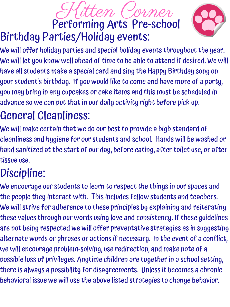F O R D H A M G R A N D H A L L your student's birthday. If you would like to come and have more of a party,  $\;$  $S' \cup A \cup A$ ri nash san  $\mathbf{v}$  , and  $\mathbf{v}$  and  $\mathbf{v}$  $\mathbf{A}$   $\mathbf{A}$   $\mathbf{A}$   $\mathbf{A}$   $\mathbf{A}$   $\mathbf{A}$   $\mathbf{A}$   $\mathbf{A}$   $\mathbf{A}$   $\mathbf{A}$   $\mathbf{A}$   $\mathbf{A}$ I M PNI S M A K MUTTUO 1774 We will offer holiday parties and special holiday events throughoutthe year. We will let you know well ahead of time to be able to attend if desired. We will have all students make a special card and sing the Happy Birthday song on you may bring in any cupcakes or cake items and this must be scheduled in advance so we can put that in our daily activity right before pick up.

#### Kitten Corner Performing Arts Pre-school Birthday Parties/Holiday events:



#### General Cleanliness:

We will make certain that we do our best to provide a high standard of cleanliness and hygiene for our students and school. Hands will be washed or hand sanitized at the start of our day, before eating, after toilet use, or after

2 7 7 5 1 9 T H S T S A L E M , O R 9 7 3 0 2 our spaces and the people they interact with. This includes fellow students and teachers.<br>We will strive for adherence to these principles by explaining and reiterating. are not being respected we will offer preventative strategies as in suggesting<br>alternate words ar phroses ar actions if neegssary. In the event of a conflict We encourage our students to learn to respect the things in our spaces and We will strive for adherence to these principles by explaining and reiterating these values through our words using love and consistency. If these guidelines alternate words or phrases or actions if necessary. In the event of a conflict, we will encourage problem-solving, use redirection, and make note of a possible loss of privileges. Anytime children are togetherin a school setting, there is always a possibility for disagreements. Unless it becomes a chronic behavioral issue we will use the above listed strategies to change behavior.

tissue use.

#### Discipline: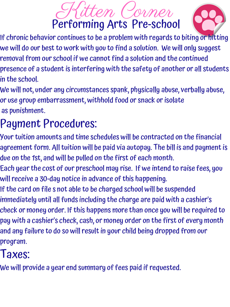#### Kitten Corner Performing Arts Pre-school



- STADI' AL 911 STA F OF OF A H A I N D A RINADH I I *F* **P D P D P R** If chronic behavior continues to be a problem with regards to biting or hitting we will do our best to work with you to find a solution. We will only suggest removal from our school if we cannot find a solution and the continued presence of a student is interfering with the safety of another or all students
- in the school.
- We will not, under any circumstances spank, physically abuse, verbally abuse, or use group embarrassment, withhold food or snack orisolate as punishment.

- Your tuition amounts and time schedules will be contracted on the financial agreement form. All tuition will be paid via autopay. The bill is and payment is due on the 1st, and will be pulled on the first of each month.
- $\mathbf{1} \cdot \mathbf{1}$ Each yearthe cost of our preschool may rise. If we intend to raise fees, you willreceive a 30-day notice in advance of this happening.
- If the card on file s not able to be charged school will be suspended
- a cashier's immediately until all funds including the charge are paid with a cashier's
- check or money order. If this happens more than once you will be required to
- and any failure to do so will result in your child being dropped from our pay with a cashier's check, cash, or money order on the first of every month
- program.

provide a year end summary of fees paid if requested. We will provide a year end summary of fees paid if requested.

#### Payment Procedures:

#### Taxes: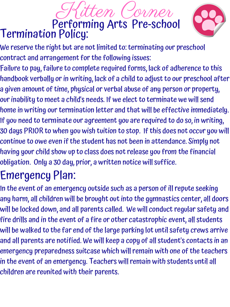#### Kitten Corner Performing Arts Pre-school Termination Policy:



- We reserve the right but are not limited to: terminating our preschool contract and arrangement forthe following issues:
- <u>SITIPE PHIP R I (1 0 1 </u>  $\mathbf{C}$   $\mathbf{C}$   $\mathbf{C}$   $\mathbf{C}$  and  $\mathbf{C}$  and  $\mathbf{C}$ O DAN FANDER K Failure to pay, failure to complete required forms, lack of adherence to this
- $\blacksquare$  $\mathbf{v}$  of  $\mathbf{v}$  and  $\mathbf{v}$  $\blacksquare$  W  $\blacksquare$  and  $\blacksquare$ handbook verbally or in writing, lack of a child to adjust to our preschool after
- a given amount of time, physical or verbal abuse of any person or property,
- our inability to meet a child's needs. If we elect to terminate we will send
- home in writing our termination letter and that will be effective immediately.
- If you need to terminate our agreement you are required to do so, in writing, 30 days PRIOR to when you wish tuition to stop. If this does not occur you will continue to owe even if the student has not been in attendance. Simply not having your child show up to class does notrelease you from the financial
- 

2 7 7 5 1 9 T H S T S A L E M , O R 9 7 3 0 2 \$10 per center, all doors 3-5 yrs will be walked to the far end of the large parking lot until safety crews arrive In the event of an emergency outside such as a person of illrepute seeking any harm, all children will be brought outinto the gymnastics center, all doors will be locked down, and all parents called. We will conductregular safety and fire drills and in the event of a fire or other catastrophic event, all students and all parents are notified. We will keep a copy of all student's contacts in an emergency preparedness suitcase which willremain with one of the teachers in the event of an emergency. Teachers will remain with students until all children are reunited with their parents.

obligation. Only a 30 day, prior, a written notice will suffice.

#### Emergency Plan: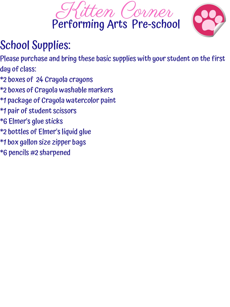- $\Omega$  eq.  $\Omega$  ,  $\Omega$  ,  $\Omega$  ,  $\Omega$  ,  $\Omega$  ,  $\Omega$  ,  $\Omega$  ,  $\Omega$  ,  $\Omega$  ,  $\Omega$  ,  $\Omega$  ,  $\Omega$  ,  $\Omega$  ,  $\Omega$  ,  $\Omega$  ,  $\Omega$  ,  $\Omega$  ,  $\Omega$  ,  $\Omega$  ,  $\Omega$  ,  $\Omega$  ,  $\Omega$  ,  $\Omega$  ,  $\Omega$  ,  $\Omega$  ,  $\Omega$  ,  $\Omega$  ,  $\Omega$  ,  $\Omega$  ,  $\Omega$  ,  $\$ JU. Please purchase and bring these basic supplies with your student on the first day of class:
- \*2 boxes of 24 Crayola crayons
- \*2 boxes of Crayola washable markers
- \*1 package of Crayola watercolor paint
- \*1 pair of student scissors
- \*6 Elmer's glue sticks
- \*2 bottles of Elmer's liquid glue
- \*1 box gallon size zipper bags
- \*6 pencils #2 sharpened





#### School Supplies: